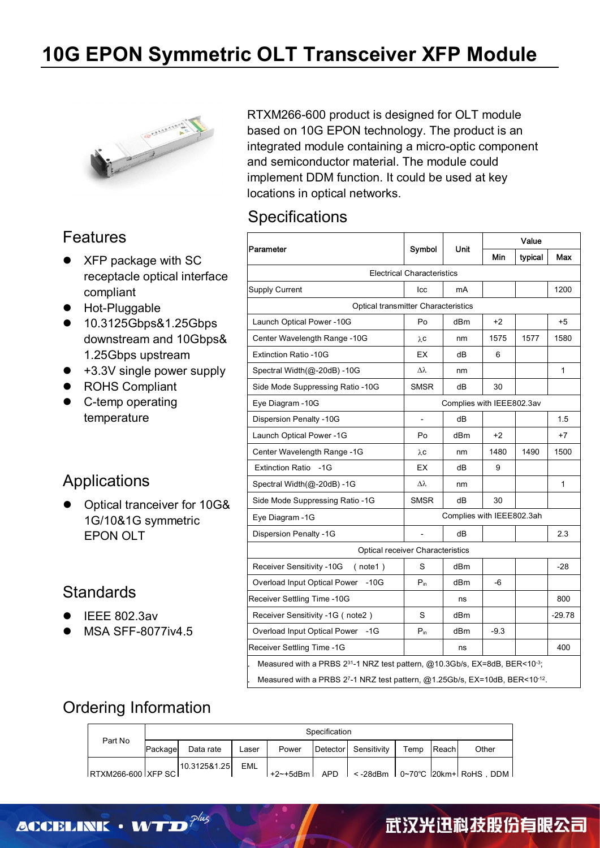

### Features

- XFP package with SC receptacle optical interface compliant
- **•** Hot-Pluggable
- 10.3125Gbps&1.25Gbps downstream and 10Gbps& 1.25Gbps upstream
- $\bullet$  +3.3V single power supply
- ROHS Compliant
- **•** C-temp operating temperature

#### Applications

• Optical tranceiver for 10G& 1G/10&1G symmetric EPON OLT

#### **Standards**

- IEEE 802.3av
- MSA SFF-8077iv4.5

RTXM266-600 product is designed for OLT module based on 10G EPON technology. The product is an integrated module containing a micro-optic component and semiconductor material. The module could implement DDM function. It could be used at key locations in optical networks.

#### **Specifications**

| Symbol<br><b>Electrical Characteristics</b><br>Icc<br>Optical transmitter Characteristics<br>Po<br>λC<br>EX<br>Δλ<br><b>SMSR</b><br>Po | Unit<br>mA<br>dBm<br>nm<br>dВ<br>nm<br>dB<br>Complies with IEEE802.3av<br>dB | Min<br>$+2$<br>1575<br>6<br>30   | typical<br>1577 | Max<br>$+5$<br>1                                                                                                                                                     |
|----------------------------------------------------------------------------------------------------------------------------------------|------------------------------------------------------------------------------|----------------------------------|-----------------|----------------------------------------------------------------------------------------------------------------------------------------------------------------------|
|                                                                                                                                        |                                                                              |                                  |                 | 1580                                                                                                                                                                 |
|                                                                                                                                        |                                                                              |                                  |                 | 1200                                                                                                                                                                 |
|                                                                                                                                        |                                                                              |                                  |                 |                                                                                                                                                                      |
|                                                                                                                                        |                                                                              |                                  |                 |                                                                                                                                                                      |
|                                                                                                                                        |                                                                              |                                  |                 |                                                                                                                                                                      |
|                                                                                                                                        |                                                                              |                                  |                 |                                                                                                                                                                      |
|                                                                                                                                        |                                                                              |                                  |                 |                                                                                                                                                                      |
|                                                                                                                                        |                                                                              |                                  |                 |                                                                                                                                                                      |
|                                                                                                                                        |                                                                              |                                  |                 |                                                                                                                                                                      |
|                                                                                                                                        |                                                                              |                                  |                 |                                                                                                                                                                      |
|                                                                                                                                        |                                                                              |                                  |                 | 1.5                                                                                                                                                                  |
|                                                                                                                                        | dBm                                                                          | +2                               |                 | $+7$                                                                                                                                                                 |
| λC                                                                                                                                     | nm                                                                           | 1480                             | 1490            | 1500                                                                                                                                                                 |
| EX                                                                                                                                     | dB                                                                           | 9                                |                 |                                                                                                                                                                      |
| Δλ                                                                                                                                     | nm                                                                           |                                  |                 | 1                                                                                                                                                                    |
| <b>SMSR</b>                                                                                                                            | dB                                                                           | 30                               |                 |                                                                                                                                                                      |
| Complies with IEEE802.3ah                                                                                                              |                                                                              |                                  |                 |                                                                                                                                                                      |
| $\overline{\phantom{0}}$                                                                                                               | dB                                                                           |                                  |                 | 2.3                                                                                                                                                                  |
|                                                                                                                                        |                                                                              |                                  |                 |                                                                                                                                                                      |
| S                                                                                                                                      | dBm                                                                          |                                  |                 | -28                                                                                                                                                                  |
| $P_{in}$                                                                                                                               | dBm                                                                          | -6                               |                 |                                                                                                                                                                      |
|                                                                                                                                        | ns                                                                           |                                  |                 | 800                                                                                                                                                                  |
| S                                                                                                                                      | dBm                                                                          |                                  |                 | $-29.78$                                                                                                                                                             |
| $P_{in}$                                                                                                                               | dBm                                                                          | $-9.3$                           |                 |                                                                                                                                                                      |
|                                                                                                                                        | ns                                                                           |                                  |                 | 400                                                                                                                                                                  |
|                                                                                                                                        |                                                                              | Optical receiver Characteristics |                 | Measured with a PRBS 2 <sup>31</sup> -1 NRZ test pattern, @10.3Gb/s, EX=8dB, BER<10-3;<br>Measured with a PRBS 27-1 NRZ test pattern, @1.25Gb/s, EX=10dB, BER<10-12. |

### Ordering Information

|                    | Specification |              |            |       |  |                      |      |       |                                                         |  |
|--------------------|---------------|--------------|------------|-------|--|----------------------|------|-------|---------------------------------------------------------|--|
| Part No            | Package       | Data rate    | Laser      | Power |  | Detector Sensitivity | Temp | Reach | Other                                                   |  |
| RTXM266-600 XFP SC |               | 10.3125&1.25 | <b>EML</b> |       |  |                      |      |       | +2~+5dBm   APD   < -28dBm   0~70°C   20km+   RoHS . DDM |  |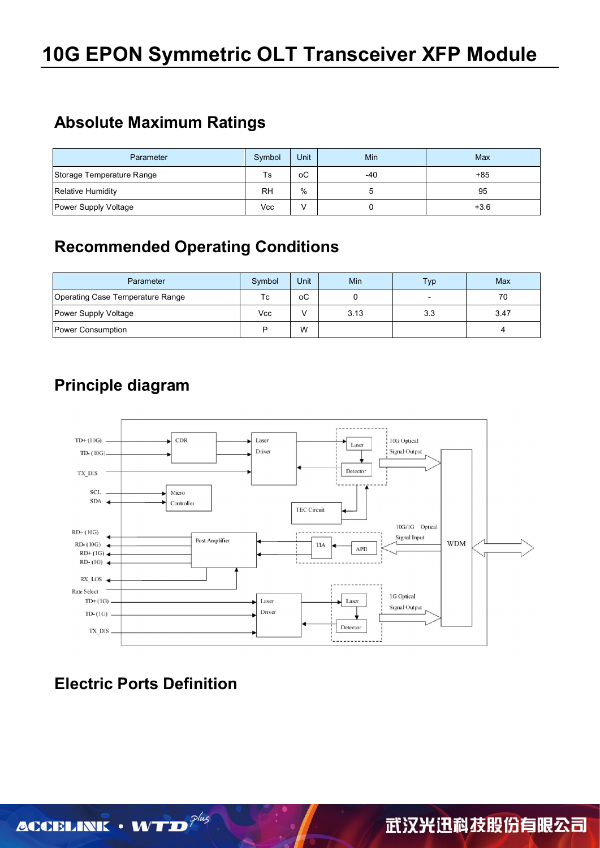### **Absolute Maximum Ratings**

| Parameter                 | Symbol    | Unit | Min | Max    |
|---------------------------|-----------|------|-----|--------|
| Storage Temperature Range | Ts        | оC   | -40 | $+85$  |
| <b>Relative Humidity</b>  | <b>RH</b> | %    |     | 95     |
| Power Supply Voltage      | Vcc       |      |     | $+3.6$ |

## **Recommended Operating Conditions**

| Parameter                        | Symbol | Unit | Min  | Typ | Max  |
|----------------------------------|--------|------|------|-----|------|
| Operating Case Temperature Range | Тc     | оC   |      |     | 70   |
| Power Supply Voltage             | Vcc    |      | 3.13 | 3.3 | 3.47 |
| Power Consumption                | D      | W    |      |     |      |

# **Principle diagram**



# **Electric Ports Definition**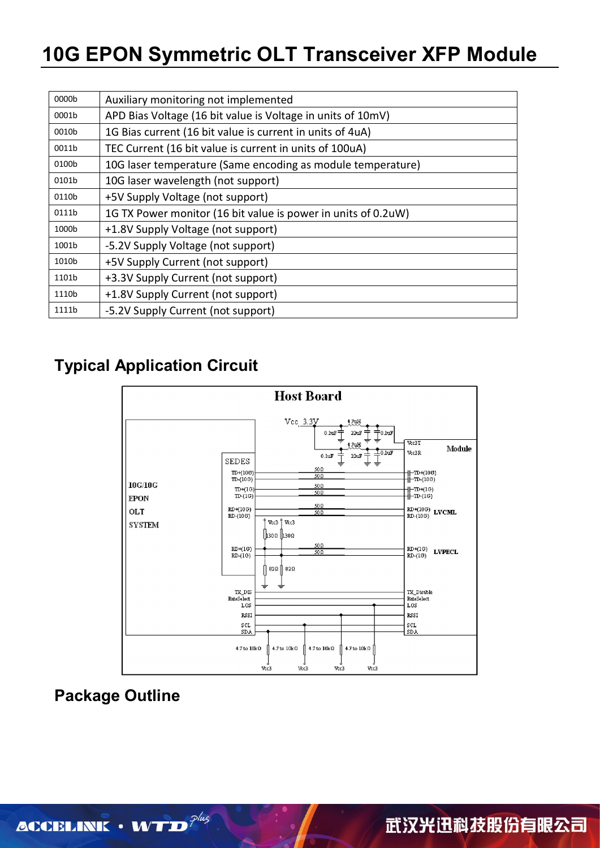# **10G EPON Symmetric OLT Transceiver XFP Module**

| 0000b | Auxiliary monitoring not implemented                          |
|-------|---------------------------------------------------------------|
| 0001b | APD Bias Voltage (16 bit value is Voltage in units of 10mV)   |
| 0010b | 1G Bias current (16 bit value is current in units of 4uA)     |
| 0011b | TEC Current (16 bit value is current in units of 100uA)       |
| 0100b | 10G laser temperature (Same encoding as module temperature)   |
| 0101b | 10G laser wavelength (not support)                            |
| 0110b | +5V Supply Voltage (not support)                              |
| 0111b | 1G TX Power monitor (16 bit value is power in units of 0.2uW) |
| 1000b | +1.8V Supply Voltage (not support)                            |
| 1001b | -5.2V Supply Voltage (not support)                            |
| 1010b | +5V Supply Current (not support)                              |
| 1101b | +3.3V Supply Current (not support)                            |
| 1110b | +1.8V Supply Current (not support)                            |
| 1111b | -5.2V Supply Current (not support)                            |

## **Typical Application Circuit**



## **Package Outline**